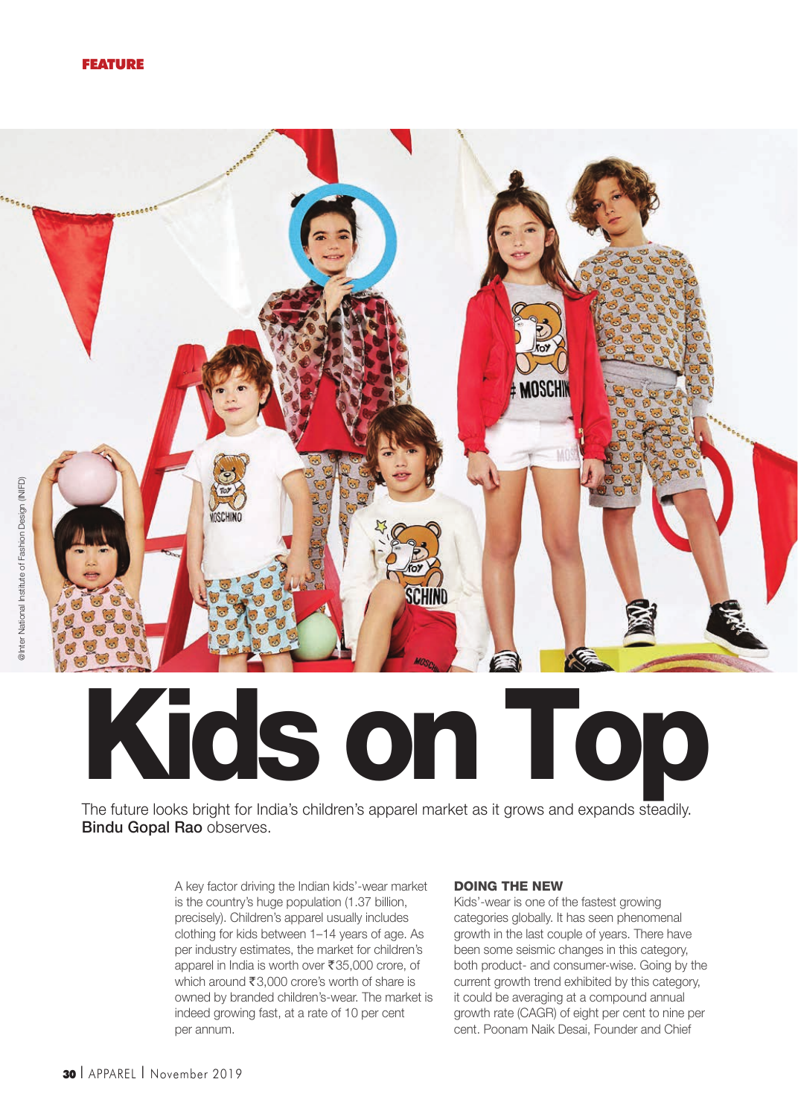

# Kids on Top

The future looks bright for India's children's apparel market as it grows and expands steadily. Bindu Gopal Rao observes.

> A key factor driving the Indian kids'-wear market is the country's huge population (1.37 billion, precisely). Children's apparel usually includes clothing for kids between 1–14 years of age. As per industry estimates, the market for children's apparel in India is worth over ₹35,000 crore, of which around  $\overline{\xi}3,000$  crore's worth of share is owned by branded children's-wear. The market is indeed growing fast, at a rate of 10 per cent per annum.

### Doing The New

Kids'-wear is one of the fastest growing categories globally. It has seen phenomenal growth in the last couple of years. There have been some seismic changes in this category, both product- and consumer-wise. Going by the current growth trend exhibited by this category, it could be averaging at a compound annual growth rate (CAGR) of eight per cent to nine per cent. Poonam Naik Desai, Founder and Chief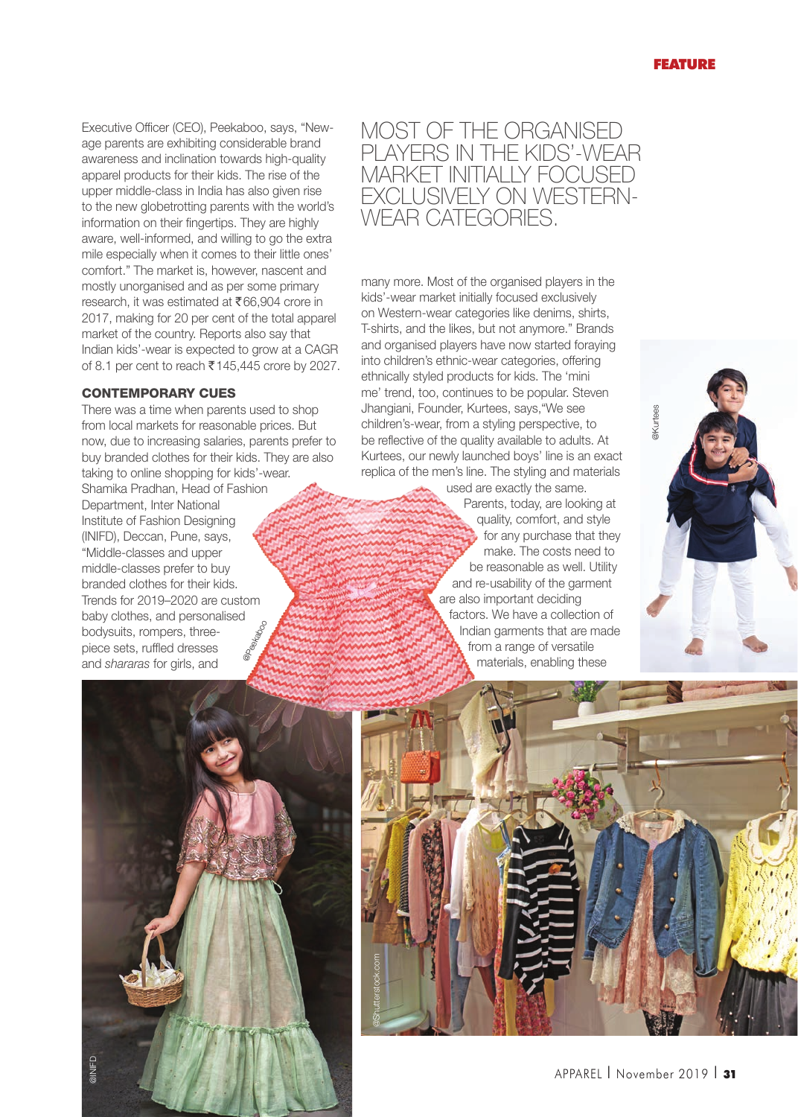Executive Officer (CEO), Peekaboo, says, "Newage parents are exhibiting considerable brand awareness and inclination towards high-quality apparel products for their kids. The rise of the upper middle-class in India has also given rise to the new globetrotting parents with the world's information on their fingertips. They are highly aware, well-informed, and willing to go the extra mile especially when it comes to their little ones' comfort." The market is, however, nascent and mostly unorganised and as per some primary research, it was estimated at ₹66,904 crore in 2017, making for 20 per cent of the total apparel market of the country. Reports also say that Indian kids'-wear is expected to grow at a CAGR of 8.1 per cent to reach  $\overline{\epsilon}$  145,445 crore by 2027.

## **CONTEMPORARY CUES**

There was a time when parents used to shop from local markets for reasonable prices. But now, due to increasing salaries, parents prefer to buy branded clothes for their kids. They are also taking to online shopping for kids'-wear. Shamika Pradhan, Head of Fashion Department, Inter National Institute of Fashion Designing (INIFD), Deccan, Pune, says, "Middle-classes and upper middle-classes prefer to buy branded clothes for their kids. Trends for 2019–2020 are custom baby clothes, and personalised bodysuits, rompers, threepiece sets, ruffled dresses and shararas for girls, and @pexaboo

# Most of the organised players in the kids'-wear market initially focused exclusively on Westernwear categories.

many more. Most of the organised players in the kids'-wear market initially focused exclusively on Western-wear categories like denims, shirts, T-shirts, and the likes, but not anymore." Brands and organised players have now started foraying into children's ethnic-wear categories, offering ethnically styled products for kids. The 'mini me' trend, too, continues to be popular. Steven Jhangiani, Founder, Kurtees, says,"We see children's-wear, from a styling perspective, to be reflective of the quality available to adults. At Kurtees, our newly launched boys' line is an exact replica of the men's line. The styling and materials

used are exactly the same. Parents, today, are looking at quality, comfort, and style for any purchase that they make. The costs need to be reasonable as well. Utility and re-usability of the garment are also important deciding factors. We have a collection of Indian garments that are made from a range of versatile materials, enabling these





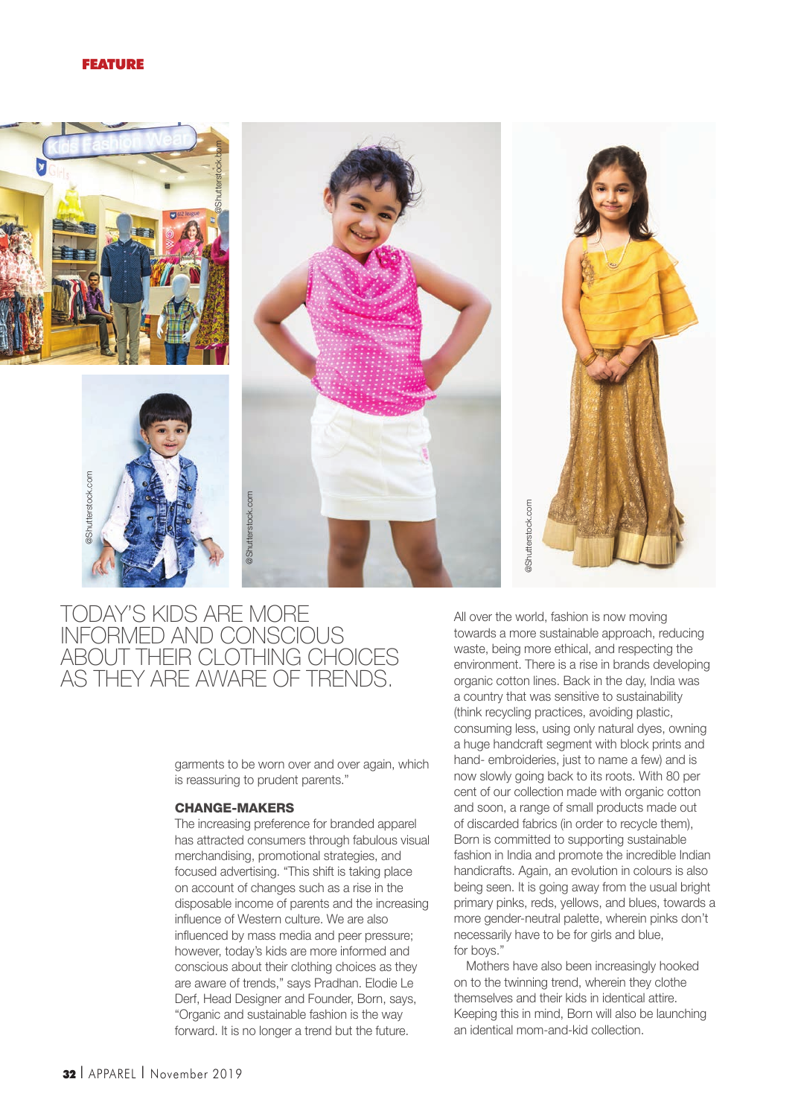#### FEATURE



# today's kids are more informed and conscious about their clothing choices as they are aware of trends.

garments to be worn over and over again, which is reassuring to prudent parents."

#### Change-Makers

The increasing preference for branded apparel has attracted consumers through fabulous visual merchandising, promotional strategies, and focused advertising. "This shift is taking place on account of changes such as a rise in the disposable income of parents and the increasing influence of Western culture. We are also influenced by mass media and peer pressure; however, today's kids are more informed and conscious about their clothing choices as they are aware of trends," says Pradhan. Elodie Le Derf, Head Designer and Founder, Born, says, "Organic and sustainable fashion is the way forward. It is no longer a trend but the future.

All over the world, fashion is now moving towards a more sustainable approach, reducing waste, being more ethical, and respecting the environment. There is a rise in brands developing organic cotton lines. Back in the day, India was a country that was sensitive to sustainability (think recycling practices, avoiding plastic, consuming less, using only natural dyes, owning a huge handcraft segment with block prints and hand- embroideries, just to name a few) and is now slowly going back to its roots. With 80 per cent of our collection made with organic cotton and soon, a range of small products made out of discarded fabrics (in order to recycle them), Born is committed to supporting sustainable fashion in India and promote the incredible Indian handicrafts. Again, an evolution in colours is also being seen. It is going away from the usual bright primary pinks, reds, yellows, and blues, towards a more gender-neutral palette, wherein pinks don't necessarily have to be for girls and blue, for boys."

Mothers have also been increasingly hooked on to the twinning trend, wherein they clothe themselves and their kids in identical attire. Keeping this in mind, Born will also be launching an identical mom-and-kid collection.